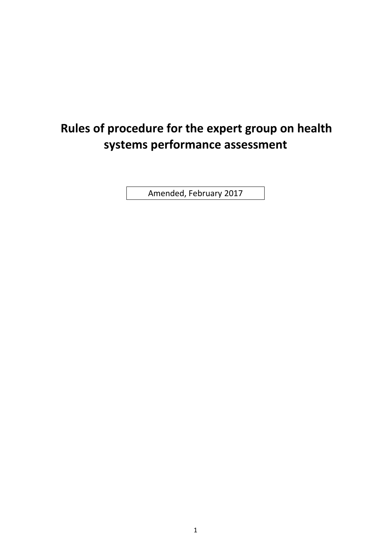# **Rules of procedure for the expert group on health systems performance assessment**

Amended, February 2017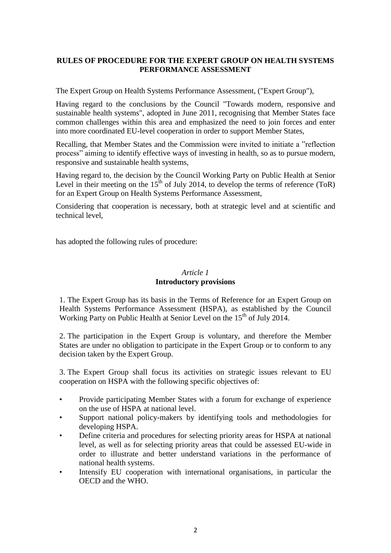# **RULES OF PROCEDURE FOR THE EXPERT GROUP ON HEALTH SYSTEMS PERFORMANCE ASSESSMENT**

The Expert Group on Health Systems Performance Assessment, ("Expert Group"),

Having regard to the conclusions by the Council "Towards modern, responsive and sustainable health systems", adopted in June 2011, recognising that Member States face common challenges within this area and emphasized the need to join forces and enter into more coordinated EU-level cooperation in order to support Member States,

Recalling, that Member States and the Commission were invited to initiate a "reflection process" aiming to identify effective ways of investing in health, so as to pursue modern, responsive and sustainable health systems,

Having regard to, the decision by the Council Working Party on Public Health at Senior Level in their meeting on the  $15<sup>th</sup>$  of July 2014, to develop the terms of reference (ToR) for an Expert Group on Health Systems Performance Assessment,

Considering that cooperation is necessary, both at strategic level and at scientific and technical level,

has adopted the following rules of procedure:

# *Article 1* **Introductory provisions**

1. The Expert Group has its basis in the Terms of Reference for an Expert Group on Health Systems Performance Assessment (HSPA), as established by the Council Working Party on Public Health at Senior Level on the 15<sup>th</sup> of July 2014.

2. The participation in the Expert Group is voluntary, and therefore the Member States are under no obligation to participate in the Expert Group or to conform to any decision taken by the Expert Group.

3. The Expert Group shall focus its activities on strategic issues relevant to EU cooperation on HSPA with the following specific objectives of:

- Provide participating Member States with a forum for exchange of experience on the use of HSPA at national level.
- Support national policy-makers by identifying tools and methodologies for developing HSPA.
- Define criteria and procedures for selecting priority areas for HSPA at national level, as well as for selecting priority areas that could be assessed EU-wide in order to illustrate and better understand variations in the performance of national health systems.
- Intensify EU cooperation with international organisations, in particular the OECD and the WHO.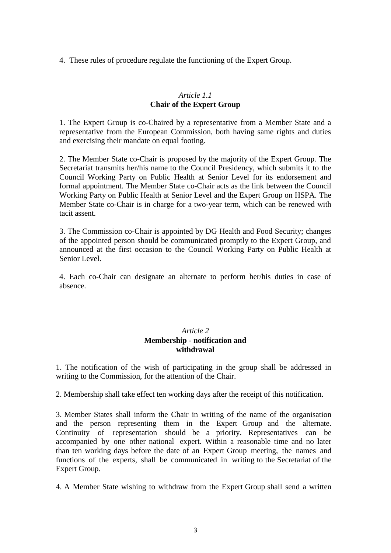4. These rules of procedure regulate the functioning of the Expert Group.

# *Article 1.1* **Chair of the Expert Group**

1. The Expert Group is co-Chaired by a representative from a Member State and a representative from the European Commission, both having same rights and duties and exercising their mandate on equal footing.

2. The Member State co-Chair is proposed by the majority of the Expert Group. The Secretariat transmits her/his name to the Council Presidency, which submits it to the Council Working Party on Public Health at Senior Level for its endorsement and formal appointment. The Member State co-Chair acts as the link between the Council Working Party on Public Health at Senior Level and the Expert Group on HSPA. The Member State co-Chair is in charge for a two-year term, which can be renewed with tacit assent.

3. The Commission co-Chair is appointed by DG Health and Food Security; changes of the appointed person should be communicated promptly to the Expert Group, and announced at the first occasion to the Council Working Party on Public Health at Senior Level.

4. Each co-Chair can designate an alternate to perform her/his duties in case of absence.

# *Article 2* **Membership - notification and withdrawal**

1. The notification of the wish of participating in the group shall be addressed in writing to the Commission, for the attention of the Chair.

2. Membership shall take effect ten working days after the receipt of this notification.

3. Member States shall inform the Chair in writing of the name of the organisation and the person representing them in the Expert Group and the alternate. Continuity of representation should be a priority. Representatives can be accompanied by one other national expert. Within a reasonable time and no later than ten working days before the date of an Expert Group meeting, the names and functions of the experts, shall be communicated in writing to the Secretariat of the Expert Group.

4. A Member State wishing to withdraw from the Expert Group shall send a written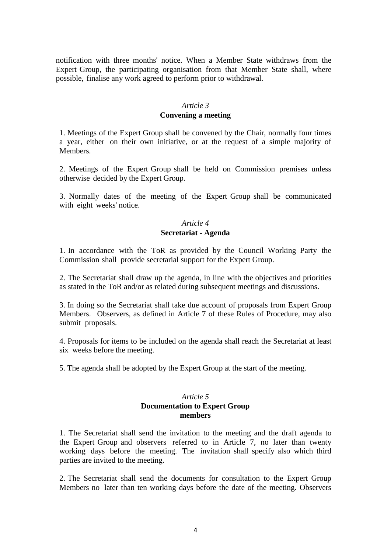notification with three months' notice. When a Member State withdraws from the Expert Group, the participating organisation from that Member State shall, where possible, finalise any work agreed to perform prior to withdrawal.

# *Article 3*

#### **Convening a meeting**

1. Meetings of the Expert Group shall be convened by the Chair, normally four times a year, either on their own initiative, or at the request of a simple majority of Members.

2. Meetings of the Expert Group shall be held on Commission premises unless otherwise decided by the Expert Group.

3. Normally dates of the meeting of the Expert Group shall be communicated with eight weeks' notice.

# *Article 4* **Secretariat - Agenda**

1. In accordance with the ToR as provided by the Council Working Party the Commission shall provide secretarial support for the Expert Group.

2. The Secretariat shall draw up the agenda, in line with the objectives and priorities as stated in the ToR and/or as related during subsequent meetings and discussions.

3. In doing so the Secretariat shall take due account of proposals from Expert Group Members. Observers, as defined in Article 7 of these Rules of Procedure, may also submit proposals.

4. Proposals for items to be included on the agenda shall reach the Secretariat at least six weeks before the meeting.

5. The agenda shall be adopted by the Expert Group at the start of the meeting.

# *Article 5* **Documentation to Expert Group members**

1. The Secretariat shall send the invitation to the meeting and the draft agenda to the Expert Group and observers referred to in Article 7, no later than twenty working days before the meeting. The invitation shall specify also which third parties are invited to the meeting.

2. The Secretariat shall send the documents for consultation to the Expert Group Members no later than ten working days before the date of the meeting. Observers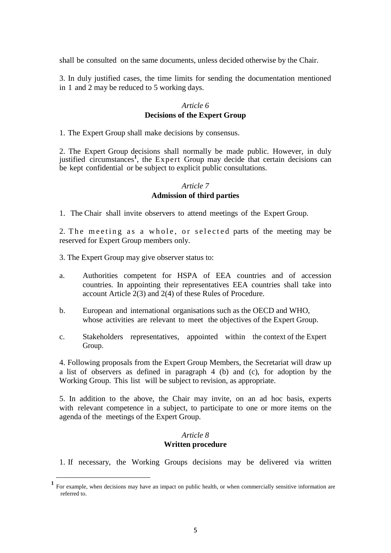shall be consulted on the same documents, unless decided otherwise by the Chair.

3. In duly justified cases, the time limits for sending the documentation mentioned in 1 and 2 may be reduced to 5 working days.

#### *Article 6* **Decisions of the Expert Group**

1. The Expert Group shall make decisions by consensus.

2. The Expert Group decisions shall normally be made public. However, in duly justified circumstances<sup>1</sup>, the Expert Group may decide that certain decisions can be kept confidential or be subject to explicit public consultations.

# *Article 7* **Admission of third parties**

1. The Chair shall invite observers to attend meetings of the Expert Group.

2. The meeting as a whole, or selected parts of the meeting may be reserved for Expert Group members only.

3. The Expert Group may give observer status to:

1

- a. Authorities competent for HSPA of EEA countries and of accession countries. In appointing their representatives EEA countries shall take into account Article 2(3) and 2(4) of these Rules of Procedure.
- b. European and international organisations such as the OECD and WHO, whose activities are relevant to meet the objectives of the Expert Group.
- c. Stakeholders representatives, appointed within the context of the Expert Group.

4. Following proposals from the Expert Group Members, the Secretariat will draw up a list of observers as defined in paragraph 4 (b) and (c), for adoption by the Working Group. This list will be subject to revision, as appropriate.

5. In addition to the above, the Chair may invite, on an ad hoc basis, experts with relevant competence in a subject, to participate to one or more items on the agenda of the meetings of the Expert Group.

## *Article 8* **Written procedure**

1. If necessary, the Working Groups decisions may be delivered via written

**<sup>1</sup>** For example, when decisions may have an impact on public health, or when commercially sensitive information are referred to.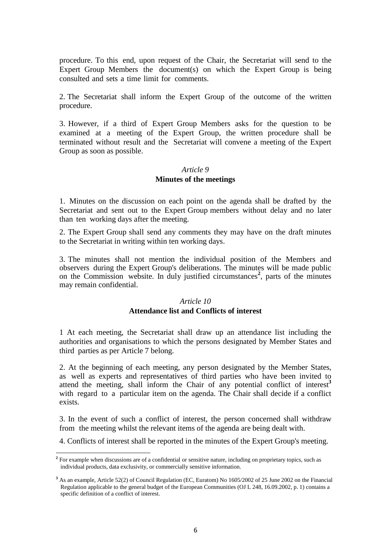procedure. To this end, upon request of the Chair, the Secretariat will send to the Expert Group Members the document(s) on which the Expert Group is being consulted and sets a time limit for comments.

2. The Secretariat shall inform the Expert Group of the outcome of the written procedure.

3. However, if a third of Expert Group Members asks for the question to be examined at a meeting of the Expert Group, the written procedure shall be terminated without result and the Secretariat will convene a meeting of the Expert Group as soon as possible.

## *Article 9*

# **Minutes of the meetings**

1. Minutes on the discussion on each point on the agenda shall be drafted by the Secretariat and sent out to the Expert Group members without delay and no later than ten working days after the meeting.

2. The Expert Group shall send any comments they may have on the draft minutes to the Secretariat in writing within ten working days.

3. The minutes shall not mention the individual position of the Members and observers during the Expert Group's deliberations. The minutes will be made public on the Commission website. In duly justified circumstances<sup>2</sup>, parts of the minutes may remain confidential.

## *Article 10*

## **Attendance list and Conflicts of interest**

1 At each meeting, the Secretariat shall draw up an attendance list including the authorities and organisations to which the persons designated by Member States and third parties as per Article 7 belong.

2. At the beginning of each meeting, any person designated by the Member States, as well as experts and representatives of third parties who have been invited to attend the meeting, shall inform the Chair of any potential conflict of interest**<sup>3</sup>** with regard to a particular item on the agenda. The Chair shall decide if a conflict exists.

3. In the event of such a conflict of interest, the person concerned shall withdraw from the meeting whilst the relevant items of the agenda are being dealt with.

4. Conflicts of interest shall be reported in the minutes of the Expert Group's meeting.

 **2** For example when discussions are of a confidential or sensitive nature, including on proprietary topics, such as individual products, data exclusivity, or commercially sensitive information.

**<sup>3</sup>** As an example, Article 52(2) of Council Regulation (EC, Euratom) No 1605/2002 of 25 June 2002 on the Financial Regulation applicable to the general budget of the European Communities (OJ L 248, 16.09.2002, p. 1) contains a specific definition of a conflict of interest.